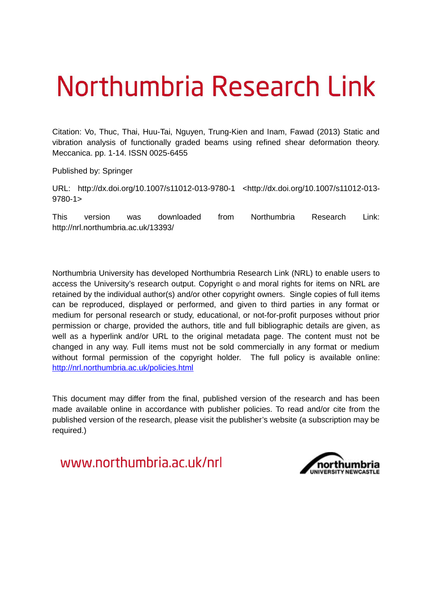# Northumbria Research Link

Citation: Vo, Thuc, Thai, Huu-Tai, Nguyen, Trung-Kien and Inam, Fawad (2013) Static and vibration analysis of functionally graded beams using refined shear deformation theory. Meccanica. pp. 1-14. ISSN 0025-6455

Published by: Springer

URL: http://dx.doi.org/10.1007/s11012-013-9780-1 <http://dx.doi.org/10.1007/s11012-013- 9780-1>

This version was downloaded from Northumbria Research Link: http://nrl.northumbria.ac.uk/13393/

Northumbria University has developed Northumbria Research Link (NRL) to enable users to access the University's research output. Copyright  $\circ$  and moral rights for items on NRL are retained by the individual author(s) and/or other copyright owners. Single copies of full items can be reproduced, displayed or performed, and given to third parties in any format or medium for personal research or study, educational, or not-for-profit purposes without prior permission or charge, provided the authors, title and full bibliographic details are given, as well as a hyperlink and/or URL to the original metadata page. The content must not be changed in any way. Full items must not be sold commercially in any format or medium without formal permission of the copyright holder. The full policy is available online: <http://nrl.northumbria.ac.uk/policies.html>

This document may differ from the final, published version of the research and has been made available online in accordance with publisher policies. To read and/or cite from the published version of the research, please visit the publisher's website (a subscription may be required.)

www.northumbria.ac.uk/nrl

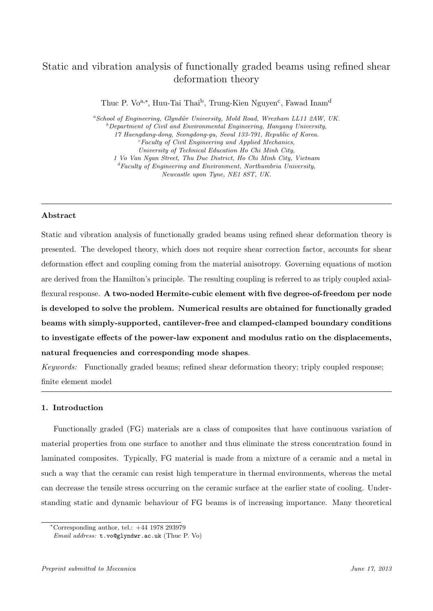## Static and vibration analysis of functionally graded beams using refined shear deformation theory

Thuc P. Vo<sup>a,∗</sup>, Huu-Tai Thai<sup>b</sup>, Trung-Kien Nguyen<sup>c</sup>, Fawad Inam<sup>d</sup>

 ${}^aSchool$  of Engineering, Glyndŵr University, Mold Road, Wrexham LL11 2AW, UK.  $b$  Department of Civil and Environmental Engineering, Hanyang University, 17 Haengdang-dong, Seongdong-gu, Seoul 133-791, Republic of Korea.  ${}^{c}$ Faculty of Civil Engineering and Applied Mechanics, University of Technical Education Ho Chi Minh City, 1 Vo Van Ngan Street, Thu Duc District, Ho Chi Minh City, Vietnam  ${}^{d}$ Faculty of Engineering and Environment, Northumbria University, Newcastle upon Tyne, NE1 8ST, UK.

#### Abstract

Static and vibration analysis of functionally graded beams using refined shear deformation theory is presented. The developed theory, which does not require shear correction factor, accounts for shear deformation effect and coupling coming from the material anisotropy. Governing equations of motion are derived from the Hamilton's principle. The resulting coupling is referred to as triply coupled axialflexural response. A two-noded Hermite-cubic element with five degree-of-freedom per node is developed to solve the problem. Numerical results are obtained for functionally graded beams with simply-supported, cantilever-free and clamped-clamped boundary conditions to investigate effects of the power-law exponent and modulus ratio on the displacements, natural frequencies and corresponding mode shapes.

*Keywords:* Functionally graded beams; refined shear deformation theory; triply coupled response; finite element model

#### 1. Introduction

Functionally graded (FG) materials are a class of composites that have continuous variation of material properties from one surface to another and thus eliminate the stress concentration found in laminated composites. Typically, FG material is made from a mixture of a ceramic and a metal in such a way that the ceramic can resist high temperature in thermal environments, whereas the metal can decrease the tensile stress occurring on the ceramic surface at the earlier state of cooling. Understanding static and dynamic behaviour of FG beams is of increasing importance. Many theoretical

<sup>∗</sup>Corresponding author, tel.: +44 1978 293979

Email address: t.vo@glyndwr.ac.uk (Thuc P. Vo)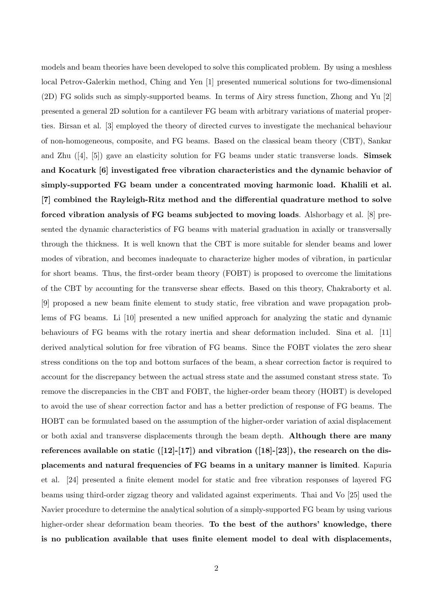models and beam theories have been developed to solve this complicated problem. By using a meshless local Petrov-Galerkin method, Ching and Yen [1] presented numerical solutions for two-dimensional (2D) FG solids such as simply-supported beams. In terms of Airy stress function, Zhong and Yu [2] presented a general 2D solution for a cantilever FG beam with arbitrary variations of material properties. Birsan et al. [3] employed the theory of directed curves to investigate the mechanical behaviour of non-homogeneous, composite, and FG beams. Based on the classical beam theory (CBT), Sankar and Zhu  $([4], [5])$  gave an elasticity solution for FG beams under static transverse loads. **Simsek** and Kocaturk [6] investigated free vibration characteristics and the dynamic behavior of simply-supported FG beam under a concentrated moving harmonic load. Khalili et al. [7] combined the Rayleigh-Ritz method and the differential quadrature method to solve forced vibration analysis of FG beams subjected to moving loads. Alshorbagy et al. [8] presented the dynamic characteristics of FG beams with material graduation in axially or transversally through the thickness. It is well known that the CBT is more suitable for slender beams and lower modes of vibration, and becomes inadequate to characterize higher modes of vibration, in particular for short beams. Thus, the first-order beam theory (FOBT) is proposed to overcome the limitations of the CBT by accounting for the transverse shear effects. Based on this theory, Chakraborty et al. [9] proposed a new beam finite element to study static, free vibration and wave propagation problems of FG beams. Li [10] presented a new unified approach for analyzing the static and dynamic behaviours of FG beams with the rotary inertia and shear deformation included. Sina et al. [11] derived analytical solution for free vibration of FG beams. Since the FOBT violates the zero shear stress conditions on the top and bottom surfaces of the beam, a shear correction factor is required to account for the discrepancy between the actual stress state and the assumed constant stress state. To remove the discrepancies in the CBT and FOBT, the higher-order beam theory (HOBT) is developed to avoid the use of shear correction factor and has a better prediction of response of FG beams. The HOBT can be formulated based on the assumption of the higher-order variation of axial displacement or both axial and transverse displacements through the beam depth. Although there are many references available on static  $(12-[17])$  and vibration  $(18-[23])$ , the research on the displacements and natural frequencies of FG beams in a unitary manner is limited. Kapuria et al. [24] presented a finite element model for static and free vibration responses of layered FG beams using third-order zigzag theory and validated against experiments. Thai and Vo [25] used the Navier procedure to determine the analytical solution of a simply-supported FG beam by using various higher-order shear deformation beam theories. To the best of the authors' knowledge, there is no publication available that uses finite element model to deal with displacements,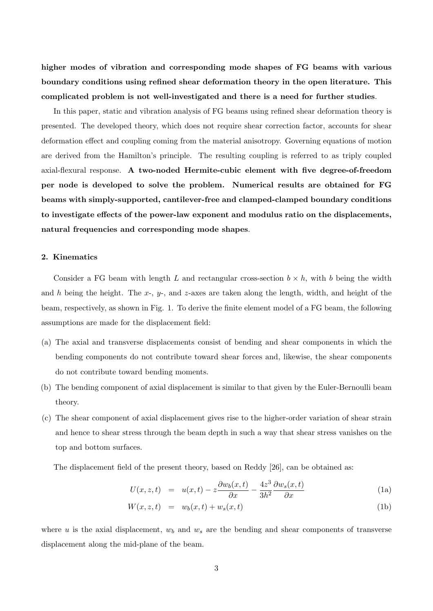higher modes of vibration and corresponding mode shapes of FG beams with various boundary conditions using refined shear deformation theory in the open literature. This complicated problem is not well-investigated and there is a need for further studies.

In this paper, static and vibration analysis of FG beams using refined shear deformation theory is presented. The developed theory, which does not require shear correction factor, accounts for shear deformation effect and coupling coming from the material anisotropy. Governing equations of motion are derived from the Hamilton's principle. The resulting coupling is referred to as triply coupled axial-flexural response. A two-noded Hermite-cubic element with five degree-of-freedom per node is developed to solve the problem. Numerical results are obtained for FG beams with simply-supported, cantilever-free and clamped-clamped boundary conditions to investigate effects of the power-law exponent and modulus ratio on the displacements, natural frequencies and corresponding mode shapes.

#### 2. Kinematics

Consider a FG beam with length L and rectangular cross-section  $b \times h$ , with b being the width and h being the height. The  $x$ -,  $y$ -, and  $z$ -axes are taken along the length, width, and height of the beam, respectively, as shown in Fig. 1. To derive the finite element model of a FG beam, the following assumptions are made for the displacement field:

- (a) The axial and transverse displacements consist of bending and shear components in which the bending components do not contribute toward shear forces and, likewise, the shear components do not contribute toward bending moments.
- (b) The bending component of axial displacement is similar to that given by the Euler-Bernoulli beam theory.
- (c) The shear component of axial displacement gives rise to the higher-order variation of shear strain and hence to shear stress through the beam depth in such a way that shear stress vanishes on the top and bottom surfaces.

The displacement field of the present theory, based on Reddy [26], can be obtained as:

$$
U(x, z, t) = u(x, t) - z \frac{\partial w_b(x, t)}{\partial x} - \frac{4z^3}{3h^2} \frac{\partial w_s(x, t)}{\partial x}
$$
 (1a)

$$
W(x, z, t) = w_b(x, t) + w_s(x, t)
$$
\n<sup>(1b)</sup>

where u is the axial displacement,  $w_b$  and  $w_s$  are the bending and shear components of transverse displacement along the mid-plane of the beam.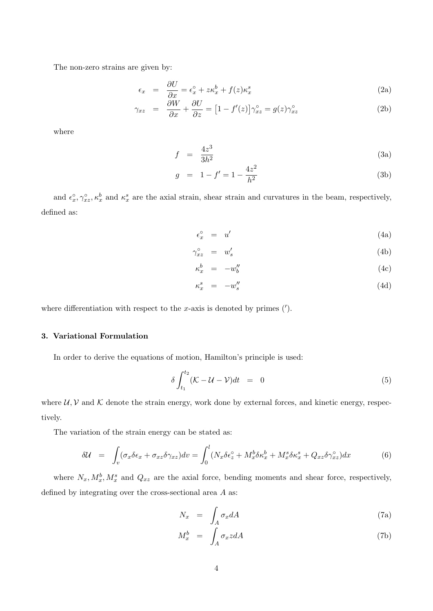The non-zero strains are given by:

$$
\epsilon_x = \frac{\partial U}{\partial x} = \epsilon_x^{\circ} + z\kappa_x^b + f(z)\kappa_x^s \tag{2a}
$$

$$
\gamma_{xz} = \frac{\partial W}{\partial x} + \frac{\partial U}{\partial z} = \left[1 - f'(z)\right] \gamma_{xz}^{\circ} = g(z) \gamma_{xz}^{\circ}
$$
 (2b)

where

$$
f = \frac{4z^3}{3h^2} \tag{3a}
$$

$$
g = 1 - f' = 1 - \frac{4z^2}{h^2}
$$
 (3b)

and  $\epsilon_x^{\circ}$  $x^{\circ}_{x}, \gamma_{xz}^{\circ}, \kappa_x^b$  and  $\kappa_x^s$  are the axial strain, shear strain and curvatures in the beam, respectively, defined as:

$$
\epsilon_x^{\circ} = u' \tag{4a}
$$

$$
\gamma_{xz}^{\circ} = w'_s \tag{4b}
$$

$$
\kappa_x^b = -w_b'' \tag{4c}
$$

$$
\kappa_x^s = -w_s'' \tag{4d}
$$

where differentiation with respect to the x-axis is denoted by primes  $(')$ .

#### 3. Variational Formulation

In order to derive the equations of motion, Hamilton's principle is used:

$$
\delta \int_{t_1}^{t_2} (\mathcal{K} - \mathcal{U} - \mathcal{V}) dt = 0 \tag{5}
$$

where  $U, V$  and K denote the strain energy, work done by external forces, and kinetic energy, respectively.

The variation of the strain energy can be stated as:

$$
\delta \mathcal{U} = \int_{v} (\sigma_x \delta \epsilon_x + \sigma_{xz} \delta \gamma_{xz}) dv = \int_{0}^{l} (N_x \delta \epsilon_z^{\circ} + M_x^b \delta \kappa_x^b + M_x^s \delta \kappa_x^s + Q_{xz} \delta \gamma_{xz}^{\circ}) dx \tag{6}
$$

where  $N_x, M_x^b, M_x^s$  and  $Q_{xz}$  are the axial force, bending moments and shear force, respectively, defined by integrating over the cross-sectional area A as:

$$
N_x = \int_A \sigma_x dA \tag{7a}
$$

$$
M_x^b = \int_A \sigma_x z dA \tag{7b}
$$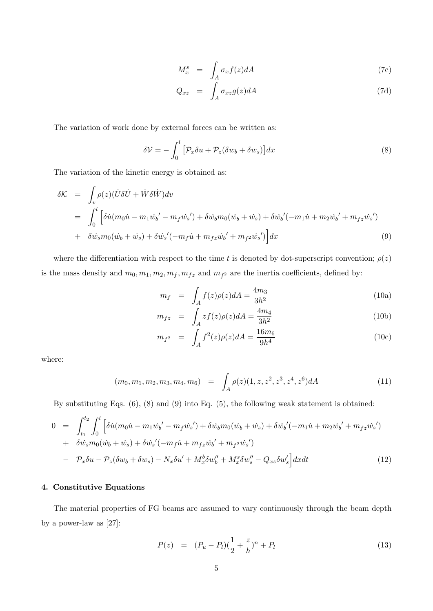$$
M_x^s = \int_A \sigma_x f(z) dA \tag{7c}
$$

$$
Q_{xz} = \int_A \sigma_{xz} g(z) dA \tag{7d}
$$

The variation of work done by external forces can be written as:

$$
\delta \mathcal{V} = -\int_0^l \left[ \mathcal{P}_x \delta u + \mathcal{P}_z (\delta w_b + \delta w_s) \right] dx \tag{8}
$$

The variation of the kinetic energy is obtained as:

$$
\delta \mathcal{K} = \int_{v} \rho(z) (\dot{U} \delta \dot{U} + \dot{W} \delta \dot{W}) dv
$$
  
\n
$$
= \int_{0}^{l} \left[ \delta \dot{u} (m_0 \dot{u} - m_1 \dot{w}_b' - m_f \dot{w}_s') + \delta \dot{w}_b m_0 (\dot{w}_b + \dot{w}_s) + \delta \dot{w}_b' (-m_1 \dot{u} + m_2 \dot{w}_b' + m_{fz} \dot{w}_s') \right]
$$
  
\n
$$
+ \delta \dot{w}_s m_0 (\dot{w}_b + \dot{w}_s) + \delta \dot{w}_s' (-m_f \dot{u} + m_{fz} \dot{w}_b' + m_{fz} \dot{w}_s') \Big] dx
$$
\n(9)

where the differentiation with respect to the time t is denoted by dot-superscript convention;  $\rho(z)$ is the mass density and  $m_0, m_1, m_2, m_f, m_{fz}$  and  $m_{fz}$  are the inertia coefficients, defined by:

$$
m_f = \int_A f(z)\rho(z)dA = \frac{4m_3}{3h^2} \tag{10a}
$$

$$
m_{fz} = \int_{A} z f(z) \rho(z) dA = \frac{4m_4}{3h^2} \tag{10b}
$$

$$
m_{f^2} = \int_A f^2(z)\rho(z)dA = \frac{16m_6}{9h^4}
$$
 (10c)

where:

$$
(m_0, m_1, m_2, m_3, m_4, m_6) = \int_A \rho(z)(1, z, z^2, z^3, z^4, z^6) dA \tag{11}
$$

By substituting Eqs. (6), (8) and (9) into Eq. (5), the following weak statement is obtained:

$$
0 = \int_{t_1}^{t_2} \int_0^l \left[ \delta \dot{u} (m_0 \dot{u} - m_1 \dot{w_b}' - m_f \dot{w_s}') + \delta \dot{w_b} m_0 (\dot{w_b} + \dot{w_s}) + \delta \dot{w_b}' (-m_1 \dot{u} + m_2 \dot{w_b}' + m_{fz} \dot{w_s}') \right] + \delta \dot{w_s} m_0 (\dot{w_b} + \dot{w_s}) + \delta \dot{w_s}' (-m_f \dot{u} + m_{fz} \dot{w_b}' + m_{f2} \dot{w_s}') - \mathcal{P}_x \delta u - \mathcal{P}_z (\delta w_b + \delta w_s) - N_x \delta u' + M_x^b \delta w_b'' + M_x^s \delta w_s'' - Q_{xz} \delta w_s' \right] dx dt
$$
 (12)

#### 4. Constitutive Equations

The material properties of FG beams are assumed to vary continuously through the beam depth by a power-law as [27]:

$$
P(z) = (P_u - P_l)(\frac{1}{2} + \frac{z}{h})^n + P_l
$$
\n(13)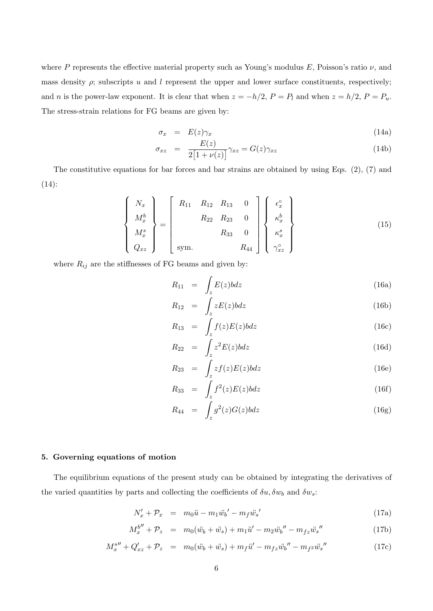where P represents the effective material property such as Young's modulus E, Poisson's ratio  $\nu$ , and mass density  $\rho$ ; subscripts u and l represent the upper and lower surface constituents, respectively; and n is the power-law exponent. It is clear that when  $z = -h/2$ ,  $P = P_l$  and when  $z = h/2$ ,  $P = P_u$ . The stress-strain relations for FG beams are given by:

$$
\sigma_x = E(z)\gamma_x \tag{14a}
$$

$$
\sigma_{xz} = \frac{E(z)}{2[1 + \nu(z)]} \gamma_{xz} = G(z) \gamma_{xz} \tag{14b}
$$

The constitutive equations for bar forces and bar strains are obtained by using Eqs.  $(2)$ ,  $(7)$  and (14):

$$
\begin{Bmatrix}\nN_x \\
M_x^b \\
M_x^s \\
Q_{xz}\n\end{Bmatrix} = \begin{bmatrix}\nR_{11} & R_{12} & R_{13} & 0 \\
R_{22} & R_{23} & 0 \\
R_{33} & 0 & R_{44}\n\end{bmatrix} \begin{Bmatrix}\n\epsilon_x^{\circ} \\
\kappa_x^b \\
\kappa_x^s \\
\gamma_{xz}^{\circ}\n\end{Bmatrix}
$$
\n(15)

where  $R_{ij}$  are the stiffnesses of FG beams and given by:

$$
R_{11} = \int_{z} E(z)bdz
$$
 (16a)

$$
R_{12} = \int_{z} zE(z)bdz
$$
 (16b)

$$
R_{13} = \int_{z} f(z)E(z)bdz
$$
 (16c)

$$
R_{22} = \int_{z} z^2 E(z) b dz \qquad (16d)
$$

$$
R_{23} = \int_{z} z f(z) E(z) b dz \qquad (16e)
$$

$$
R_{33} = \int_{z} f^{2}(z)E(z)bdz
$$
 (16f)

$$
R_{44} = \int_{z} g^{2}(z)G(z)bdz \qquad (16g)
$$

### 5. Governing equations of motion

The equilibrium equations of the present study can be obtained by integrating the derivatives of the varied quantities by parts and collecting the coefficients of  $\delta u, \delta w_b$  and  $\delta w_s$ :

$$
N'_x + \mathcal{P}_x = m_0 \ddot{u} - m_1 \ddot{w}_b' - m_f \ddot{w}_s'
$$
\n(17a)

$$
M_x^{b''} + \mathcal{P}_z = m_0(\ddot{w}_b + \ddot{w}_s) + m_1 \ddot{u}' - m_2 \ddot{w}_b'' - m_{fz} \ddot{w}_s''
$$
 (17b)

$$
M_x^{s''} + Q'_{xz} + P_z = m_0(\ddot{w}_b + \ddot{w}_s) + m_f \ddot{u}' - m_{fz} \ddot{w}_b'' - m_{f^2} \ddot{w}_s''
$$
(17c)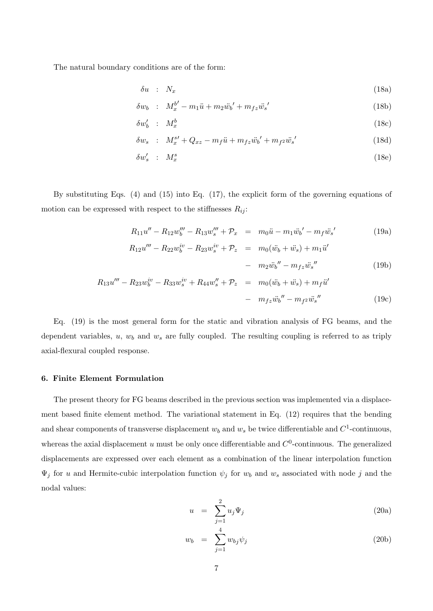The natural boundary conditions are of the form:

$$
\delta u \quad : \quad N_x \tag{18a}
$$

$$
\delta w_b : M_x^{b'} - m_1 \ddot{u} + m_2 \ddot{w}_b' + m_{fz} \ddot{w}_s'
$$
 (18b)

$$
\delta w'_b : M_x^b \tag{18c}
$$

$$
\delta w_s : M_x^{s'} + Q_{xz} - m_f \ddot{u} + m_{fz} \ddot{w}_b' + m_{f^2} \ddot{w}_s'
$$
 (18d)

$$
\delta w_s' \quad : \quad M_x^s \tag{18e}
$$

By substituting Eqs. (4) and (15) into Eq. (17), the explicit form of the governing equations of motion can be expressed with respect to the stiffnesses  $R_{ij}$ :

$$
R_{11}u'' - R_{12}w_0''' - R_{13}w_s''' + \mathcal{P}_x = m_0\ddot{u} - m_1\ddot{w}_b' - m_f\ddot{w}_s'
$$
 (19a)

$$
R_{12}u''' - R_{22}w_b^{iv} - R_{23}w_s^{iv} + \mathcal{P}_z = m_0(\ddot{w}_b + \ddot{w}_s) + m_1\ddot{u}'
$$

 $(19b)$ 

$$
- m_2 \ddot{w}_b'' - m_{fz} \ddot{w}_s''
$$
 (19b)  

$$
R_{13}u''' - R_{23}w_b^{iv} - R_{33}w_s^{iv} + R_{44}w_s'' + P_z = m_0(\ddot{w}_b + \ddot{w}_s) + m_f \ddot{u}'
$$
  

$$
- m_{fz} \ddot{w}_b'' - m_{f2} \ddot{w}_s''
$$
 (19c)

Eq. (19) is the most general form for the static and vibration analysis of FG beams, and the dependent variables,  $u, w_b$  and  $w_s$  are fully coupled. The resulting coupling is referred to as triply axial-flexural coupled response.

#### 6. Finite Element Formulation

The present theory for FG beams described in the previous section was implemented via a displacement based finite element method. The variational statement in Eq. (12) requires that the bending and shear components of transverse displacement  $w_b$  and  $w_s$  be twice differentiable and  $C^1$ -continuous, whereas the axial displacement u must be only once differentiable and  $C^0$ -continuous. The generalized displacements are expressed over each element as a combination of the linear interpolation function  $\Psi_j$  for u and Hermite-cubic interpolation function  $\psi_j$  for  $w_b$  and  $w_s$  associated with node j and the nodal values:

$$
u = \sum_{j=1}^{2} u_j \Psi_j \tag{20a}
$$

$$
w_b = \sum_{j=1}^4 w_{bj} \psi_j \tag{20b}
$$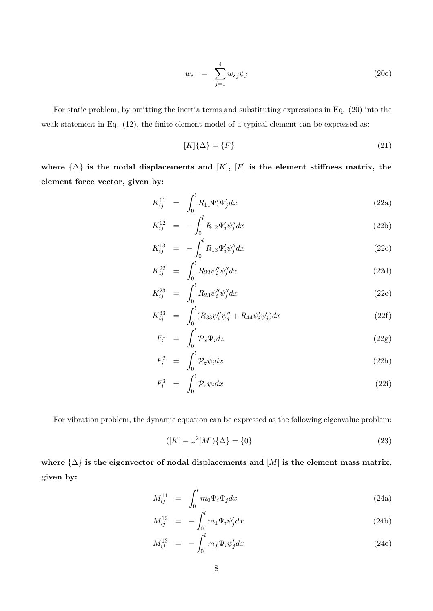$$
w_s = \sum_{j=1}^4 w_{sj} \psi_j \tag{20c}
$$

For static problem, by omitting the inertia terms and substituting expressions in Eq. (20) into the weak statement in Eq.  $(12)$ , the finite element model of a typical element can be expressed as:

$$
[K]\{\Delta\} = \{F\} \tag{21}
$$

where  $\{\Delta\}$  is the nodal displacements and  $[K], [F]$  is the element stiffness matrix, the element force vector, given by:

$$
K_{ij}^{11} = \int_0^l R_{11} \Psi_i' \Psi_j' dx \qquad (22a)
$$

$$
K_{ij}^{12} = -\int_0^l R_{12} \Psi_i' \psi_j'' dx \tag{22b}
$$

$$
K_{ij}^{13} = -\int_0^l R_{13} \Psi_i' \psi_j'' dx \qquad (22c)
$$

$$
K_{ij}^{22} = \int_0^l R_{22} \psi_i'' \psi_j'' dx
$$
 (22d)

$$
K_{ij}^{23} = \int_0^l R_{23} \psi_i'' \psi_j'' dx
$$
 (22e)

$$
K_{ij}^{33} = \int_0^l (R_{33} \psi_i'' \psi_j'' + R_{44} \psi_i' \psi_j') dx \tag{22f}
$$

$$
F_i^1 = \int_0^l \mathcal{P}_x \Psi_i dz \tag{22g}
$$

$$
F_i^2 = \int_0^l \mathcal{P}_z \psi_i dx \tag{22h}
$$

$$
F_i^3 = \int_0^l \mathcal{P}_z \psi_i dx \tag{22i}
$$

For vibration problem, the dynamic equation can be expressed as the following eigenvalue problem:

$$
([K] - \omega^2[M])\{\Delta\} = \{0\}
$$
\n(23)

where  $\{\Delta\}$  is the eigenvector of nodal displacements and  $[M]$  is the element mass matrix, given by:

$$
M_{ij}^{11} = \int_0^l m_0 \Psi_i \Psi_j dx \qquad (24a)
$$

$$
M_{ij}^{12} = -\int_0^l m_1 \Psi_i \psi'_j dx \tag{24b}
$$

$$
M_{ij}^{13} = -\int_0^l m_f \Psi_i \psi_j' dx \qquad (24c)
$$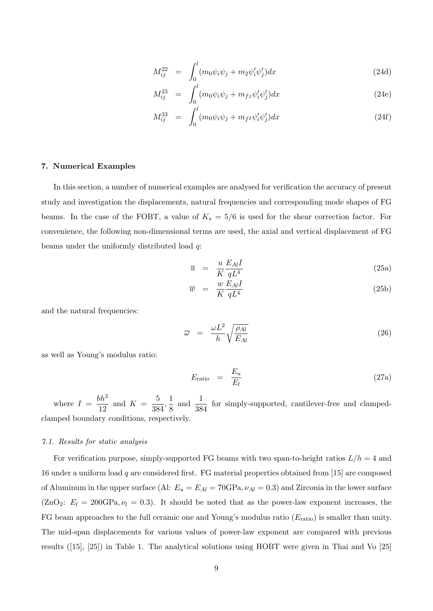$$
M_{ij}^{22} = \int_0^l (m_0 \psi_i \psi_j + m_2 \psi_i' \psi_j') dx
$$
 (24d)

$$
M_{ij}^{23} = \int_0^l (m_0 \psi_i \psi_j + m_{fz} \psi_i' \psi_j') dx
$$
 (24e)

$$
M_{ij}^{33} = \int_0^l (m_0 \psi_i \psi_j + m_{f^2} \psi_i' \psi_j') dx \qquad (24f)
$$

#### 7. Numerical Examples

In this section, a number of numerical examples are analysed for verification the accuracy of present study and investigation the displacements, natural frequencies and corresponding mode shapes of FG beams. In the case of the FOBT, a value of  $K_s = 5/6$  is used for the shear correction factor. For convenience, the following non-dimensional terms are used, the axial and vertical displacement of FG beams under the uniformly distributed load q:

$$
\overline{u} = \frac{u}{K} \frac{E_{Al}I}{qL^4}
$$
\n(25a)

$$
\overline{w} = \frac{w}{K} \frac{E_{Al}I}{qL^4}
$$
\n(25b)

and the natural frequencies:

$$
\overline{\omega} = \frac{\omega L^2}{h} \sqrt{\frac{\rho_{Al}}{E_{Al}}} \tag{26}
$$

as well as Young's modulus ratio:

$$
E_{\text{ratio}} = \frac{E_u}{E_l} \tag{27a}
$$

where  $I = \frac{bh^3}{12}$  $\frac{bh^3}{12}$  and  $K = \frac{5}{38}$  $\frac{5}{384}, \frac{1}{8}$  $\frac{1}{8}$  and  $\frac{1}{384}$  for simply-supported, cantilever-free and clampedclamped boundary conditions, respectively.

#### *7.1. Results for static analysis*

For verification purpose, simply-supported FG beams with two span-to-height ratios  $L/h = 4$  and 16 under a uniform load q are considered first. FG material properties obtained from [15] are composed of Aluminum in the upper surface (Al:  $E_u = E_{Al} = 70 \text{GPa}, \nu_{Al} = 0.3$ ) and Zirconia in the lower surface  $(ZnO_2: E_l = 200GPa, \nu_l = 0.3)$ . It should be noted that as the power-law exponent increases, the FG beam approaches to the full ceramic one and Young's modulus ratio  $(E_{\text{ratio}})$  is smaller than unity. The mid-span displacements for various values of power-law exponent are compared with previous results ([15], [25]) in Table 1. The analytical solutions using HOBT were given in Thai and Vo [25]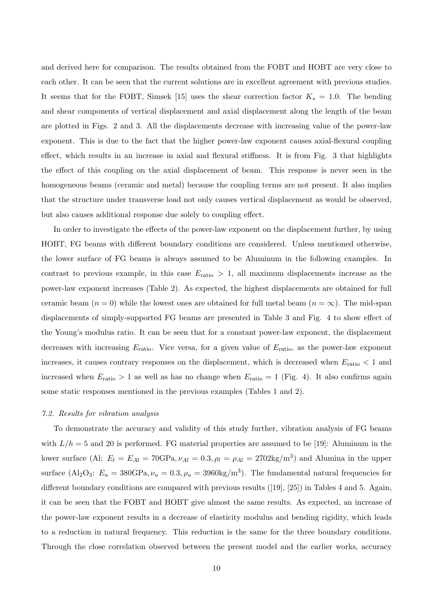and derived here for comparison. The results obtained from the FOBT and HOBT are very close to each other. It can be seen that the current solutions are in excellent agreement with previous studies. It seems that for the FOBT, Simsek [15] uses the shear correction factor  $K_s = 1.0$ . The bending and shear components of vertical displacement and axial displacement along the length of the beam are plotted in Figs. 2 and 3. All the displacements decrease with increasing value of the power-law exponent. This is due to the fact that the higher power-law exponent causes axial-flexural coupling effect, which results in an increase in axial and flexural stiffness. It is from Fig. 3 that highlights the effect of this coupling on the axial displacement of beam. This response is never seen in the homogeneous beams (ceramic and metal) because the coupling terms are not present. It also implies that the structure under transverse load not only causes vertical displacement as would be observed, but also causes additional response due solely to coupling effect.

In order to investigate the effects of the power-law exponent on the displacement further, by using HOBT, FG beams with different boundary conditions are considered. Unless mentioned otherwise, the lower surface of FG beams is always assumed to be Aluminum in the following examples. In contrast to previous example, in this case  $E_{\text{ratio}} > 1$ , all maximum displacements increase as the power-law exponent increases (Table 2). As expected, the highest displacements are obtained for full ceramic beam  $(n = 0)$  while the lowest ones are obtained for full metal beam  $(n = \infty)$ . The mid-span displacements of simply-supported FG beams are presented in Table 3 and Fig. 4 to show effect of the Young's modulus ratio. It can be seen that for a constant power-law exponent, the displacement decreases with increasing  $E_{\text{ratio}}$ . Vice versa, for a given value of  $E_{\text{ratio}}$ , as the power-law exponent increases, it causes contrary responses on the displacement, which is decreased when  $E_{\text{ratio}} < 1$  and increased when  $E_{\text{ratio}} > 1$  as well as has no change when  $E_{\text{ratio}} = 1$  (Fig. 4). It also confirms again some static responses mentioned in the previous examples (Tables 1 and 2).

#### *7.2. Results for vibration analysis*

To demonstrate the accuracy and validity of this study further, vibration analysis of FG beams with  $L/h = 5$  and 20 is performed. FG material properties are assumed to be [19]: Aluminum in the lower surface (Al:  $E_l = E_{Al} = 70$ GPa,  $\nu_{Al} = 0.3$ ,  $\rho_l = \rho_{Al} = 2702 \text{kg/m}^3$ ) and Alumina in the upper surface (Al<sub>2</sub>O<sub>3</sub>:  $E_u = 380$ GPa,  $\nu_u = 0.3$ ,  $\rho_u = 3960$ kg/m<sup>3</sup>). The fundamental natural frequencies for different boundary conditions are compared with previous results ([19], [25]) in Tables 4 and 5. Again, it can be seen that the FOBT and HOBT give almost the same results. As expected, an increase of the power-law exponent results in a decrease of elasticity modulus and bending rigidity, which leads to a reduction in natural frequency. This reduction is the same for the three boundary conditions. Through the close correlation observed between the present model and the earlier works, accuracy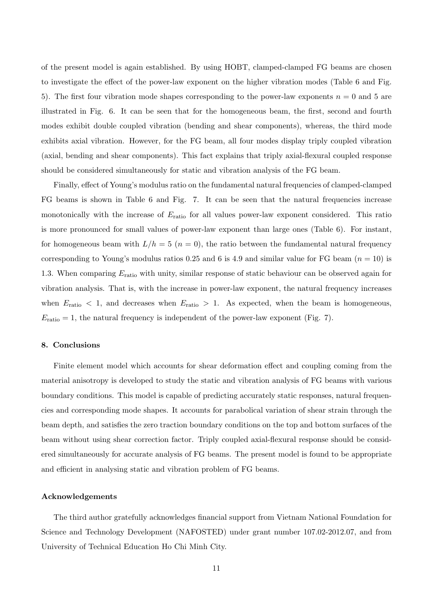of the present model is again established. By using HOBT, clamped-clamped FG beams are chosen to investigate the effect of the power-law exponent on the higher vibration modes (Table 6 and Fig. 5). The first four vibration mode shapes corresponding to the power-law exponents  $n = 0$  and 5 are illustrated in Fig. 6. It can be seen that for the homogeneous beam, the first, second and fourth modes exhibit double coupled vibration (bending and shear components), whereas, the third mode exhibits axial vibration. However, for the FG beam, all four modes display triply coupled vibration (axial, bending and shear components). This fact explains that triply axial-flexural coupled response should be considered simultaneously for static and vibration analysis of the FG beam.

Finally, effect of Young's modulus ratio on the fundamental natural frequencies of clamped-clamped FG beams is shown in Table 6 and Fig. 7. It can be seen that the natural frequencies increase monotonically with the increase of  $E_{\text{ratio}}$  for all values power-law exponent considered. This ratio is more pronounced for small values of power-law exponent than large ones (Table 6). For instant, for homogeneous beam with  $L/h = 5$   $(n = 0)$ , the ratio between the fundamental natural frequency corresponding to Young's modulus ratios 0.25 and 6 is 4.9 and similar value for FG beam  $(n = 10)$  is 1.3. When comparing  $E_{\text{ratio}}$  with unity, similar response of static behaviour can be observed again for vibration analysis. That is, with the increase in power-law exponent, the natural frequency increases when  $E_{\text{ratio}} < 1$ , and decreases when  $E_{\text{ratio}} > 1$ . As expected, when the beam is homogeneous,  $E_{\text{ratio}} = 1$ , the natural frequency is independent of the power-law exponent (Fig. 7).

#### 8. Conclusions

Finite element model which accounts for shear deformation effect and coupling coming from the material anisotropy is developed to study the static and vibration analysis of FG beams with various boundary conditions. This model is capable of predicting accurately static responses, natural frequencies and corresponding mode shapes. It accounts for parabolical variation of shear strain through the beam depth, and satisfies the zero traction boundary conditions on the top and bottom surfaces of the beam without using shear correction factor. Triply coupled axial-flexural response should be considered simultaneously for accurate analysis of FG beams. The present model is found to be appropriate and efficient in analysing static and vibration problem of FG beams.

#### Acknowledgements

The third author gratefully acknowledges financial support from Vietnam National Foundation for Science and Technology Development (NAFOSTED) under grant number 107.02-2012.07, and from University of Technical Education Ho Chi Minh City.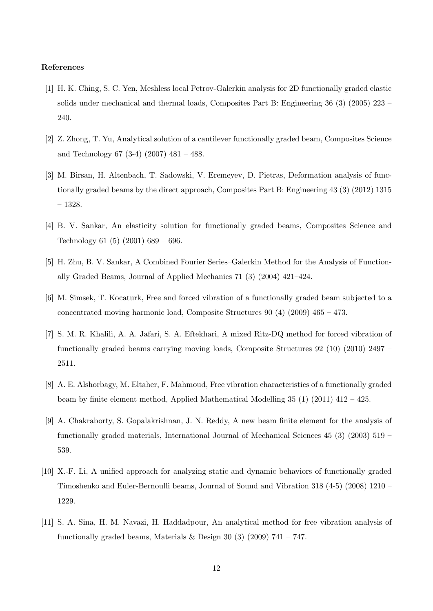#### References

- [1] H. K. Ching, S. C. Yen, Meshless local Petrov-Galerkin analysis for 2D functionally graded elastic solids under mechanical and thermal loads, Composites Part B: Engineering 36 (3) (2005) 223 – 240.
- [2] Z. Zhong, T. Yu, Analytical solution of a cantilever functionally graded beam, Composites Science and Technology 67 (3-4) (2007) 481 – 488.
- [3] M. Birsan, H. Altenbach, T. Sadowski, V. Eremeyev, D. Pietras, Deformation analysis of functionally graded beams by the direct approach, Composites Part B: Engineering 43 (3) (2012) 1315 – 1328.
- [4] B. V. Sankar, An elasticity solution for functionally graded beams, Composites Science and Technology 61 (5) (2001) 689 – 696.
- [5] H. Zhu, B. V. Sankar, A Combined Fourier Series–Galerkin Method for the Analysis of Functionally Graded Beams, Journal of Applied Mechanics 71 (3) (2004) 421–424.
- [6] M. Simsek, T. Kocaturk, Free and forced vibration of a functionally graded beam subjected to a concentrated moving harmonic load, Composite Structures  $90 (4) (2009) 465 - 473$ .
- [7] S. M. R. Khalili, A. A. Jafari, S. A. Eftekhari, A mixed Ritz-DQ method for forced vibration of functionally graded beams carrying moving loads, Composite Structures 92 (10) (2010) 2497 – 2511.
- [8] A. E. Alshorbagy, M. Eltaher, F. Mahmoud, Free vibration characteristics of a functionally graded beam by finite element method, Applied Mathematical Modelling 35 (1) (2011) 412 – 425.
- [9] A. Chakraborty, S. Gopalakrishnan, J. N. Reddy, A new beam finite element for the analysis of functionally graded materials, International Journal of Mechanical Sciences 45 (3) (2003) 519 – 539.
- [10] X.-F. Li, A unified approach for analyzing static and dynamic behaviors of functionally graded Timoshenko and Euler-Bernoulli beams, Journal of Sound and Vibration 318 (4-5) (2008) 1210 – 1229.
- [11] S. A. Sina, H. M. Navazi, H. Haddadpour, An analytical method for free vibration analysis of functionally graded beams, Materials & Design 30 (3) (2009)  $741 - 747$ .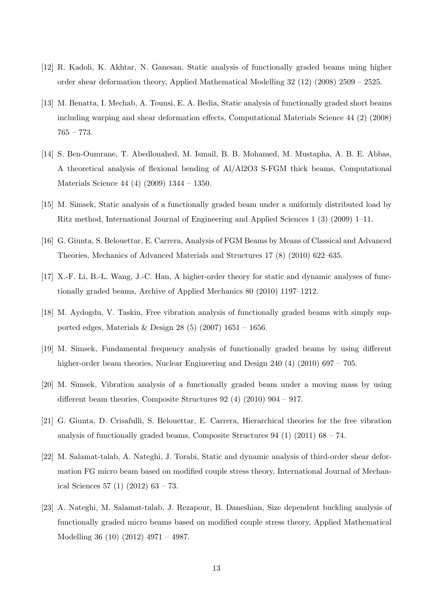- [12] R. Kadoli, K. Akhtar, N. Ganesan, Static analysis of functionally graded beams using higher order shear deformation theory, Applied Mathematical Modelling 32 (12) (2008) 2509 – 2525.
- [13] M. Benatta, I. Mechab, A. Tounsi, E. A. Bedia, Static analysis of functionally graded short beams including warping and shear deformation effects, Computational Materials Science 44 (2) (2008) 765 – 773.
- [14] S. Ben-Oumrane, T. Abedlouahed, M. Ismail, B. B. Mohamed, M. Mustapha, A. B. E. Abbas, A theoretical analysis of flexional bending of Al/Al2O3 S-FGM thick beams, Computational Materials Science 44 (4) (2009) 1344 – 1350.
- [15] M. Simsek, Static analysis of a functionally graded beam under a uniformly distributed load by Ritz method, International Journal of Engineering and Applied Sciences 1 (3) (2009) 1–11.
- [16] G. Giunta, S. Belouettar, E. Carrera, Analysis of FGM Beams by Means of Classical and Advanced Theories, Mechanics of Advanced Materials and Structures 17 (8) (2010) 622–635.
- [17] X.-F. Li, B.-L. Wang, J.-C. Han, A higher-order theory for static and dynamic analyses of functionally graded beams, Archive of Applied Mechanics 80 (2010) 1197–1212.
- [18] M. Aydogdu, V. Taskin, Free vibration analysis of functionally graded beams with simply supported edges, Materials & Design 28 (5) (2007) 1651 – 1656.
- [19] M. Simsek, Fundamental frequency analysis of functionally graded beams by using different higher-order beam theories, Nuclear Engineering and Design 240 (4) (2010) 697 – 705.
- [20] M. Simsek, Vibration analysis of a functionally graded beam under a moving mass by using different beam theories, Composite Structures 92 (4) (2010) 904 – 917.
- [21] G. Giunta, D. Crisafulli, S. Belouettar, E. Carrera, Hierarchical theories for the free vibration analysis of functionally graded beams, Composite Structures 94 (1) (2011) 68 – 74.
- [22] M. Salamat-talab, A. Nateghi, J. Torabi, Static and dynamic analysis of third-order shear deformation FG micro beam based on modified couple stress theory, International Journal of Mechanical Sciences 57 (1) (2012) 63 – 73.
- [23] A. Nateghi, M. Salamat-talab, J. Rezapour, B. Daneshian, Size dependent buckling analysis of functionally graded micro beams based on modified couple stress theory, Applied Mathematical Modelling 36 (10) (2012) 4971 – 4987.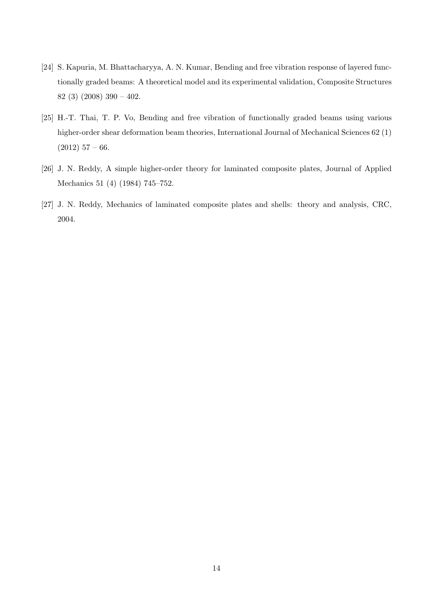- [24] S. Kapuria, M. Bhattacharyya, A. N. Kumar, Bending and free vibration response of layered functionally graded beams: A theoretical model and its experimental validation, Composite Structures 82 (3) (2008) 390 – 402.
- [25] H.-T. Thai, T. P. Vo, Bending and free vibration of functionally graded beams using various higher-order shear deformation beam theories, International Journal of Mechanical Sciences 62 (1)  $(2012)$  57 – 66.
- [26] J. N. Reddy, A simple higher-order theory for laminated composite plates, Journal of Applied Mechanics 51 (4) (1984) 745–752.
- [27] J. N. Reddy, Mechanics of laminated composite plates and shells: theory and analysis, CRC, 2004.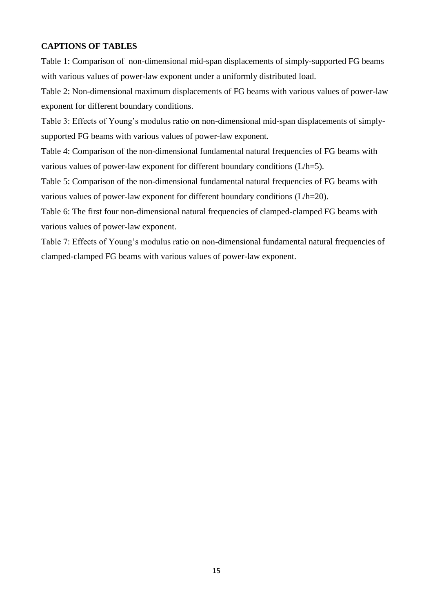## <span id="page-15-0"></span>**CAPTIONS OF TABLES**

[Table 1: Comparison of non-dimensional mid-span displacements of simply-supported FG beams](#page-15-0)  [with various values of power-law exponent under a uniformly distributed load.](#page-15-0) 

[Table 2: Non-dimensional maximum displacements of FG beams with various values of power-law](#page-16-0)  [exponent for different boundary conditions.](#page-16-0) 

[Table 3: Effects of Young's modulus ratio on non](#page-17-0)-dimensional mid-span displacements of simply[supported FG beams with various values of power-law exponent.](#page-17-0) 

[Table 4: Comparison of the non-dimensional fundamental natural frequencies of FG beams with](#page-18-0)  [various values of power-law exponent for different boundary conditions \(L/h=5\).](#page-18-0) 

[Table 5: Comparison of the non-dimensional fundamental natural frequencies of FG beams with](#page-19-0)  [various values of power-law exponent for different boundary conditions \(L/h=20\).](#page-19-0) 

[Table 6: The first four non-dimensional natural frequencies of clamped-clamped FG beams with](#page-20-0)  [various values of power-law exponent.](#page-20-0) 

[Table 7: Effects of Young's modulus ratio on non](#page-21-0)-dimensional fundamental natural frequencies of [clamped-clamped FG beams with various values of power-law exponent.](#page-21-0)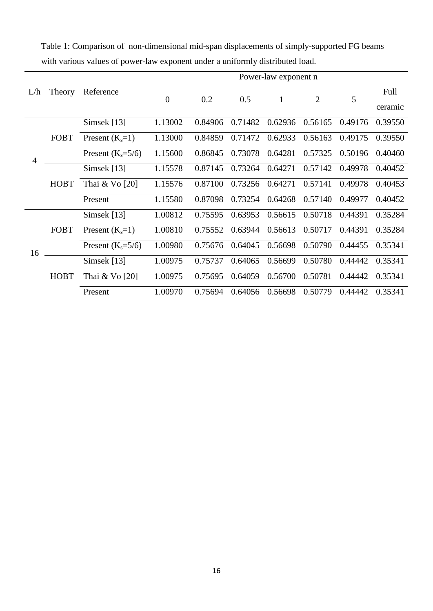|                |             |                     | Power-law exponent n |         |         |              |                |         |         |  |  |
|----------------|-------------|---------------------|----------------------|---------|---------|--------------|----------------|---------|---------|--|--|
| L/h            | Theory      | Reference           | $\mathbf{0}$         | 0.2     | 0.5     | $\mathbf{1}$ | $\overline{2}$ | 5       | Full    |  |  |
|                |             |                     |                      |         |         |              |                |         | ceramic |  |  |
|                |             | Simsek $[13]$       | 1.13002              | 0.84906 | 0.71482 | 0.62936      | 0.56165        | 0.49176 | 0.39550 |  |  |
|                | FOBT        | Present $(K_s=1)$   | 1.13000              | 0.84859 | 0.71472 | 0.62933      | 0.56163        | 0.49175 | 0.39550 |  |  |
| $\overline{4}$ |             | Present $(K_s=5/6)$ | 1.15600              | 0.86845 | 0.73078 | 0.64281      | 0.57325        | 0.50196 | 0.40460 |  |  |
|                | <b>HOBT</b> | Simsek $[13]$       | 1.15578              | 0.87145 | 0.73264 | 0.64271      | 0.57142        | 0.49978 | 0.40452 |  |  |
|                |             | Thai & Vo [20]      | 1.15576              | 0.87100 | 0.73256 | 0.64271      | 0.57141        | 0.49978 | 0.40453 |  |  |
|                |             | Present             | 1.15580              | 0.87098 | 0.73254 | 0.64268      | 0.57140        | 0.49977 | 0.40452 |  |  |
|                |             | Simsek $[13]$       | 1.00812              | 0.75595 | 0.63953 | 0.56615      | 0.50718        | 0.44391 | 0.35284 |  |  |
|                | FOBT        | Present $(K_s=1)$   | 1.00810              | 0.75552 | 0.63944 | 0.56613      | 0.50717        | 0.44391 | 0.35284 |  |  |
| 16             |             | Present $(K_s=5/6)$ | 1.00980              | 0.75676 | 0.64045 | 0.56698      | 0.50790        | 0.44455 | 0.35341 |  |  |
|                |             | Simsek [13]         | 1.00975              | 0.75737 | 0.64065 | 0.56699      | 0.50780        | 0.44442 | 0.35341 |  |  |
|                | <b>HOBT</b> | Thai & Vo [20]      | 1.00975              | 0.75695 | 0.64059 | 0.56700      | 0.50781        | 0.44442 | 0.35341 |  |  |
|                |             | Present             | 1.00970              | 0.75694 | 0.64056 | 0.56698      | 0.50779        | 0.44442 | 0.35341 |  |  |

<span id="page-16-0"></span>Table 1: Comparison of non-dimensional mid-span displacements of simply-supported FG beams with various values of power-law exponent under a uniformly distributed load.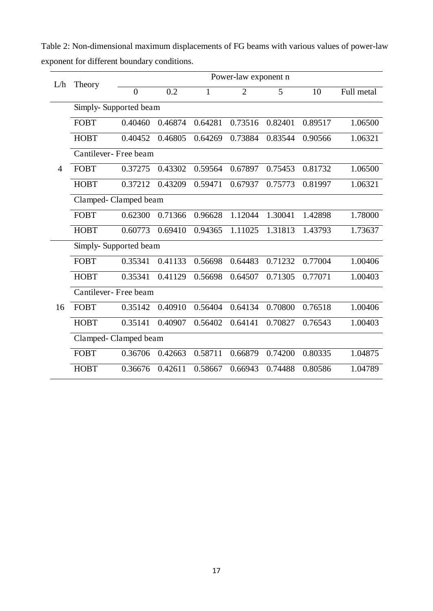| L/h            | Theory                | Power-law exponent n |         |         |                |         |         |            |  |  |  |  |
|----------------|-----------------------|----------------------|---------|---------|----------------|---------|---------|------------|--|--|--|--|
|                |                       | $\overline{0}$       | 0.2     | 1       | $\overline{2}$ | 5       | 10      | Full metal |  |  |  |  |
|                | Simply-Supported beam |                      |         |         |                |         |         |            |  |  |  |  |
|                | <b>FOBT</b>           | 0.40460              | 0.46874 | 0.64281 | 0.73516        | 0.82401 | 0.89517 | 1.06500    |  |  |  |  |
|                | <b>HOBT</b>           | 0.40452              | 0.46805 | 0.64269 | 0.73884        | 0.83544 | 0.90566 | 1.06321    |  |  |  |  |
|                |                       | Cantilever-Free beam |         |         |                |         |         |            |  |  |  |  |
| $\overline{4}$ | <b>FOBT</b>           | 0.37275              | 0.43302 | 0.59564 | 0.67897        | 0.75453 | 0.81732 | 1.06500    |  |  |  |  |
|                | <b>HOBT</b>           | 0.37212              | 0.43209 | 0.59471 | 0.67937        | 0.75773 | 0.81997 | 1.06321    |  |  |  |  |
|                | Clamped-Clamped beam  |                      |         |         |                |         |         |            |  |  |  |  |
|                | FOBT                  | 0.62300              | 0.71366 | 0.96628 | 1.12044        | 1.30041 | 1.42898 | 1.78000    |  |  |  |  |
|                | <b>HOBT</b>           | 0.60773              | 0.69410 | 0.94365 | 1.11025        | 1.31813 | 1.43793 | 1.73637    |  |  |  |  |
|                | Simply-Supported beam |                      |         |         |                |         |         |            |  |  |  |  |
|                | <b>FOBT</b>           | 0.35341              | 0.41133 | 0.56698 | 0.64483        | 0.71232 | 0.77004 | 1.00406    |  |  |  |  |
|                | <b>HOBT</b>           | 0.35341              | 0.41129 | 0.56698 | 0.64507        | 0.71305 | 0.77071 | 1.00403    |  |  |  |  |
|                | Cantilever-Free beam  |                      |         |         |                |         |         |            |  |  |  |  |
| 16             | <b>FOBT</b>           | 0.35142              | 0.40910 | 0.56404 | 0.64134        | 0.70800 | 0.76518 | 1.00406    |  |  |  |  |
|                | <b>HOBT</b>           | 0.35141              | 0.40907 | 0.56402 | 0.64141        | 0.70827 | 0.76543 | 1.00403    |  |  |  |  |
|                | Clamped-Clamped beam  |                      |         |         |                |         |         |            |  |  |  |  |
|                | <b>FOBT</b>           | 0.36706              | 0.42663 | 0.58711 | 0.66879        | 0.74200 | 0.80335 | 1.04875    |  |  |  |  |
|                | <b>HOBT</b>           | 0.36676              | 0.42611 | 0.58667 | 0.66943        | 0.74488 | 0.80586 | 1.04789    |  |  |  |  |

<span id="page-17-0"></span>Table 2: Non-dimensional maximum displacements of FG beams with various values of power-law exponent for different boundary conditions.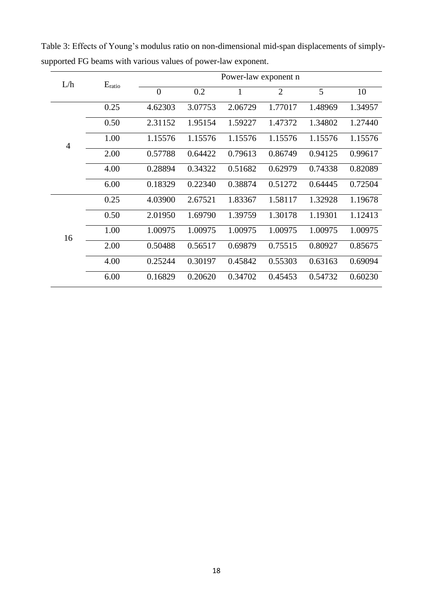| L/h            | $E_{\text{ratio}}$ | Power-law exponent n |         |         |                |         |         |  |  |  |
|----------------|--------------------|----------------------|---------|---------|----------------|---------|---------|--|--|--|
|                |                    | $\overline{0}$       | 0.2     | 1       | $\overline{2}$ | 5       | 10      |  |  |  |
|                | 0.25               | 4.62303              | 3.07753 | 2.06729 | 1.77017        | 1.48969 | 1.34957 |  |  |  |
|                | 0.50               | 2.31152              | 1.95154 | 1.59227 | 1.47372        | 1.34802 | 1.27440 |  |  |  |
| $\overline{4}$ | 1.00               | 1.15576              | 1.15576 | 1.15576 | 1.15576        | 1.15576 | 1.15576 |  |  |  |
|                | 2.00               | 0.57788              | 0.64422 | 0.79613 | 0.86749        | 0.94125 | 0.99617 |  |  |  |
|                | 4.00               | 0.28894              | 0.34322 | 0.51682 | 0.62979        | 0.74338 | 0.82089 |  |  |  |
|                | 6.00               | 0.18329              | 0.22340 | 0.38874 | 0.51272        | 0.64445 | 0.72504 |  |  |  |
|                | 0.25               | 4.03900              | 2.67521 | 1.83367 | 1.58117        | 1.32928 | 1.19678 |  |  |  |
|                | 0.50               | 2.01950              | 1.69790 | 1.39759 | 1.30178        | 1.19301 | 1.12413 |  |  |  |
| 16             | 1.00               | 1.00975              | 1.00975 | 1.00975 | 1.00975        | 1.00975 | 1.00975 |  |  |  |
|                | 2.00               | 0.50488              | 0.56517 | 0.69879 | 0.75515        | 0.80927 | 0.85675 |  |  |  |
|                | 4.00               | 0.25244              | 0.30197 | 0.45842 | 0.55303        | 0.63163 | 0.69094 |  |  |  |
|                | 6.00               | 0.16829              | 0.20620 | 0.34702 | 0.45453        | 0.54732 | 0.60230 |  |  |  |

<span id="page-18-0"></span>Table 3: Effects of Young's modulus ratio on non-dimensional mid-span displacements of simplysupported FG beams with various values of power-law exponent.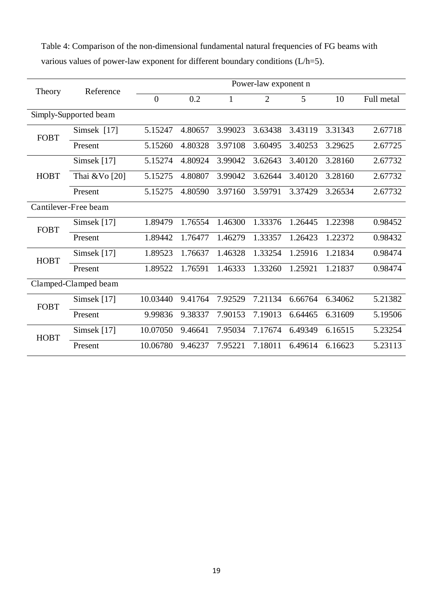<span id="page-19-0"></span>Table 4: Comparison of the non-dimensional fundamental natural frequencies of FG beams with various values of power-law exponent for different boundary conditions (L/h=5).

| Theory                | Reference            | Power-law exponent n |         |              |                |         |         |            |  |  |
|-----------------------|----------------------|----------------------|---------|--------------|----------------|---------|---------|------------|--|--|
|                       |                      | $\overline{0}$       | 0.2     | $\mathbf{1}$ | $\overline{2}$ | 5       | 10      | Full metal |  |  |
| Simply-Supported beam |                      |                      |         |              |                |         |         |            |  |  |
| <b>FOBT</b>           | Simsek [17]          | 5.15247              | 4.80657 | 3.99023      | 3.63438        | 3.43119 | 3.31343 | 2.67718    |  |  |
|                       | Present              | 5.15260              | 4.80328 | 3.97108      | 3.60495        | 3.40253 | 3.29625 | 2.67725    |  |  |
|                       | Simsek [17]          | 5.15274              | 4.80924 | 3.99042      | 3.62643        | 3.40120 | 3.28160 | 2.67732    |  |  |
| <b>HOBT</b>           | Thai & Vo [20]       | 5.15275              | 4.80807 | 3.99042      | 3.62644        | 3.40120 | 3.28160 | 2.67732    |  |  |
|                       | Present              | 5.15275              | 4.80590 | 3.97160      | 3.59791        | 3.37429 | 3.26534 | 2.67732    |  |  |
|                       | Cantilever-Free beam |                      |         |              |                |         |         |            |  |  |
| <b>FOBT</b>           | Simsek $[17]$        | 1.89479              | 1.76554 | 1.46300      | 1.33376        | 1.26445 | 1.22398 | 0.98452    |  |  |
|                       | Present              | 1.89442              | 1.76477 | 1.46279      | 1.33357        | 1.26423 | 1.22372 | 0.98432    |  |  |
| <b>HOBT</b>           | Simsek [17]          | 1.89523              | 1.76637 | 1.46328      | 1.33254        | 1.25916 | 1.21834 | 0.98474    |  |  |
|                       | Present              | 1.89522              | 1.76591 | 1.46333      | 1.33260        | 1.25921 | 1.21837 | 0.98474    |  |  |
|                       | Clamped-Clamped beam |                      |         |              |                |         |         |            |  |  |
| <b>FOBT</b>           | Simsek [17]          | 10.03440             | 9.41764 | 7.92529      | 7.21134        | 6.66764 | 6.34062 | 5.21382    |  |  |
|                       | Present              | 9.99836              | 9.38337 | 7.90153      | 7.19013        | 6.64465 | 6.31609 | 5.19506    |  |  |
| <b>HOBT</b>           | Simsek [17]          | 10.07050             | 9.46641 | 7.95034      | 7.17674        | 6.49349 | 6.16515 | 5.23254    |  |  |
|                       | Present              | 10.06780             | 9.46237 | 7.95221      | 7.18011        | 6.49614 | 6.16623 | 5.23113    |  |  |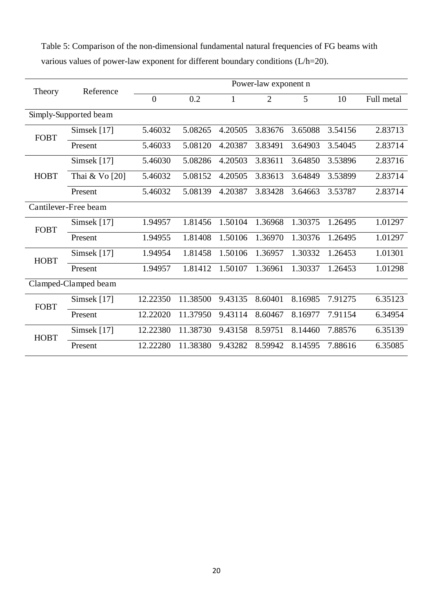<span id="page-20-0"></span>Table 5: Comparison of the non-dimensional fundamental natural frequencies of FG beams with various values of power-law exponent for different boundary conditions (L/h=20).

| Theory                | Reference            | Power-law exponent n |          |              |                |         |         |            |  |  |
|-----------------------|----------------------|----------------------|----------|--------------|----------------|---------|---------|------------|--|--|
|                       |                      | $\overline{0}$       | 0.2      | $\mathbf{1}$ | $\overline{2}$ | 5       | 10      | Full metal |  |  |
| Simply-Supported beam |                      |                      |          |              |                |         |         |            |  |  |
| <b>FOBT</b>           | Simsek [17]          | 5.46032              | 5.08265  | 4.20505      | 3.83676        | 3.65088 | 3.54156 | 2.83713    |  |  |
|                       | Present              | 5.46033              | 5.08120  | 4.20387      | 3.83491        | 3.64903 | 3.54045 | 2.83714    |  |  |
|                       | Simsek [17]          | 5.46030              | 5.08286  | 4.20503      | 3.83611        | 3.64850 | 3.53896 | 2.83716    |  |  |
| <b>HOBT</b>           | Thai & Vo [20]       | 5.46032              | 5.08152  | 4.20505      | 3.83613        | 3.64849 | 3.53899 | 2.83714    |  |  |
|                       | Present              | 5.46032              | 5.08139  | 4.20387      | 3.83428        | 3.64663 | 3.53787 | 2.83714    |  |  |
|                       | Cantilever-Free beam |                      |          |              |                |         |         |            |  |  |
| <b>FOBT</b>           | Simsek $[17]$        | 1.94957              | 1.81456  | 1.50104      | 1.36968        | 1.30375 | 1.26495 | 1.01297    |  |  |
|                       | Present              | 1.94955              | 1.81408  | 1.50106      | 1.36970        | 1.30376 | 1.26495 | 1.01297    |  |  |
| <b>HOBT</b>           | Simsek [17]          | 1.94954              | 1.81458  | 1.50106      | 1.36957        | 1.30332 | 1.26453 | 1.01301    |  |  |
|                       | Present              | 1.94957              | 1.81412  | 1.50107      | 1.36961        | 1.30337 | 1.26453 | 1.01298    |  |  |
|                       | Clamped-Clamped beam |                      |          |              |                |         |         |            |  |  |
| <b>FOBT</b>           | Simsek [17]          | 12.22350             | 11.38500 | 9.43135      | 8.60401        | 8.16985 | 7.91275 | 6.35123    |  |  |
|                       | Present              | 12.22020             | 11.37950 | 9.43114      | 8.60467        | 8.16977 | 7.91154 | 6.34954    |  |  |
| <b>HOBT</b>           | Simsek [17]          | 12.22380             | 11.38730 | 9.43158      | 8.59751        | 8.14460 | 7.88576 | 6.35139    |  |  |
|                       | Present              | 12.22280             | 11.38380 | 9.43282      | 8.59942        | 8.14595 | 7.88616 | 6.35085    |  |  |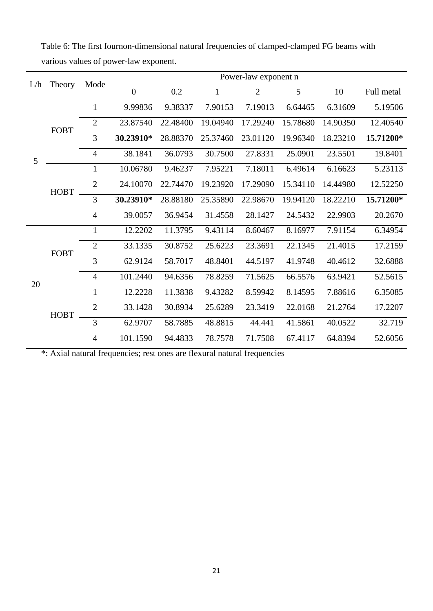| L/h | Theory      | Mode           |                |                  |              | Power-law exponent n |          |          |            |
|-----|-------------|----------------|----------------|------------------|--------------|----------------------|----------|----------|------------|
|     |             |                | $\overline{0}$ | $\overline{0.2}$ | $\mathbf{1}$ | $\overline{2}$       | 5        | 10       | Full metal |
|     | <b>FOBT</b> | $\mathbf{1}$   | 9.99836        | 9.38337          | 7.90153      | 7.19013              | 6.64465  | 6.31609  | 5.19506    |
|     |             | 2              | 23.87540       | 22.48400         | 19.04940     | 17.29240             | 15.78680 | 14.90350 | 12.40540   |
|     |             | 3              | 30.23910*      | 28.88370         | 25.37460     | 23.01120             | 19.96340 | 18.23210 | 15.71200*  |
| 5   |             | $\overline{4}$ | 38.1841        | 36.0793          | 30.7500      | 27.8331              | 25.0901  | 23.5501  | 19.8401    |
|     | <b>HOBT</b> | $\mathbf{1}$   | 10.06780       | 9.46237          | 7.95221      | 7.18011              | 6.49614  | 6.16623  | 5.23113    |
|     |             | $\overline{2}$ | 24.10070       | 22.74470         | 19.23920     | 17.29090             | 15.34110 | 14.44980 | 12.52250   |
|     |             | 3              | 30.23910*      | 28.88180         | 25.35890     | 22.98670             | 19.94120 | 18.22210 | 15.71200*  |
|     |             | $\overline{4}$ | 39.0057        | 36.9454          | 31.4558      | 28.1427              | 24.5432  | 22.9903  | 20.2670    |
|     | <b>FOBT</b> | $\mathbf{1}$   | 12.2202        | 11.3795          | 9.43114      | 8.60467              | 8.16977  | 7.91154  | 6.34954    |
|     |             | $\overline{2}$ | 33.1335        | 30.8752          | 25.6223      | 23.3691              | 22.1345  | 21.4015  | 17.2159    |
|     |             | 3              | 62.9124        | 58.7017          | 48.8401      | 44.5197              | 41.9748  | 40.4612  | 32.6888    |
| 20  |             | $\overline{4}$ | 101.2440       | 94.6356          | 78.8259      | 71.5625              | 66.5576  | 63.9421  | 52.5615    |
|     |             | $\mathbf{1}$   | 12.2228        | 11.3838          | 9.43282      | 8.59942              | 8.14595  | 7.88616  | 6.35085    |
|     | <b>HOBT</b> | $\overline{2}$ | 33.1428        | 30.8934          | 25.6289      | 23.3419              | 22.0168  | 21.2764  | 17.2207    |
|     |             | 3              | 62.9707        | 58.7885          | 48.8815      | 44.441               | 41.5861  | 40.0522  | 32.719     |
|     |             | $\overline{4}$ | 101.1590       | 94.4833          | 78.7578      | 71.7508              | 67.4117  | 64.8394  | 52.6056    |

<span id="page-21-0"></span>Table 6: The first fournon-dimensional natural frequencies of clamped-clamped FG beams with various values of power-law exponent.

\*: Axial natural frequencies; rest ones are flexural natural frequencies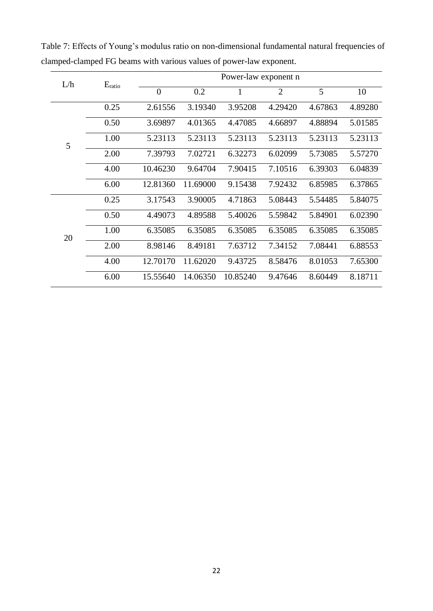| L/h | $E_{\text{ratio}}$ | Power-law exponent n |          |          |                |         |         |  |  |  |
|-----|--------------------|----------------------|----------|----------|----------------|---------|---------|--|--|--|
|     |                    | $\overline{0}$       | 0.2      | 1        | $\overline{2}$ | 5       | 10      |  |  |  |
|     | 0.25               | 2.61556              | 3.19340  | 3.95208  | 4.29420        | 4.67863 | 4.89280 |  |  |  |
|     | 0.50               | 3.69897              | 4.01365  | 4.47085  | 4.66897        | 4.88894 | 5.01585 |  |  |  |
| 5   | 1.00               | 5.23113              | 5.23113  | 5.23113  | 5.23113        | 5.23113 | 5.23113 |  |  |  |
|     | 2.00               | 7.39793              | 7.02721  | 6.32273  | 6.02099        | 5.73085 | 5.57270 |  |  |  |
|     | 4.00               | 10.46230             | 9.64704  | 7.90415  | 7.10516        | 6.39303 | 6.04839 |  |  |  |
|     | 6.00               | 12.81360             | 11.69000 | 9.15438  | 7.92432        | 6.85985 | 6.37865 |  |  |  |
|     | 0.25               | 3.17543              | 3.90005  | 4.71863  | 5.08443        | 5.54485 | 5.84075 |  |  |  |
|     | 0.50               | 4.49073              | 4.89588  | 5.40026  | 5.59842        | 5.84901 | 6.02390 |  |  |  |
| 20  | 1.00               | 6.35085              | 6.35085  | 6.35085  | 6.35085        | 6.35085 | 6.35085 |  |  |  |
|     | 2.00               | 8.98146              | 8.49181  | 7.63712  | 7.34152        | 7.08441 | 6.88553 |  |  |  |
|     | 4.00               | 12.70170             | 11.62020 | 9.43725  | 8.58476        | 8.01053 | 7.65300 |  |  |  |
|     | 6.00               | 15.55640             | 14.06350 | 10.85240 | 9.47646        | 8.60449 | 8.18711 |  |  |  |

Table 7: Effects of Young's modulus ratio on non-dimensional fundamental natural frequencies of clamped-clamped FG beams with various values of power-law exponent.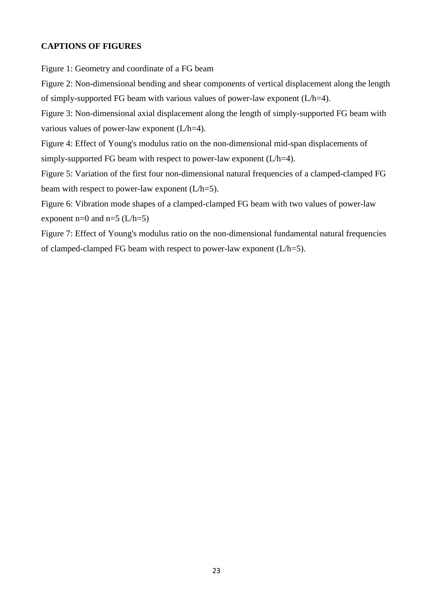## **CAPTIONS OF FIGURES**

[Figure 1: Geometry and coordinate of a FG beam](#page-23-0) 

[Figure 2: Non-dimensional bending and shear components of vertical displacement along the length](#page-24-0)  [of simply-supported FG beam with various values of power-law exponent \(L/h=4\).](#page-24-0) 

[Figure 3: Non-dimensional axial displacement along the length of simply-supported FG beam with](#page-25-0)  [various values of power-law exponent \(L/h=4\).](#page-25-0) 

[Figure 4: Effect of Young's modulus ratio on the non-dimensional mid-span displacements of](#page-26-0)  simply-supported FG beam with respect to power-law exponent  $(L/h=4)$ .

<span id="page-23-0"></span>[Figure 5: Variation of the first four non-dimensional natural frequencies of a clamped-clamped FG](#page-27-0)  [beam with respect to power-law exponent \(L/h=5\).](#page-27-0) 

[Figure 6: Vibration mode shapes of a clamped-clamped FG beam with two values of power-law](#page-29-0)  exponent n=0 and n=5  $(L/h=5)$ 

[Figure 7: Effect of Young's modulus ratio on the non-dimensional fundamental natural frequencies](#page-30-0)  of clamped-clamped FG beam with respect to power-law exponent  $(L/h=5)$ .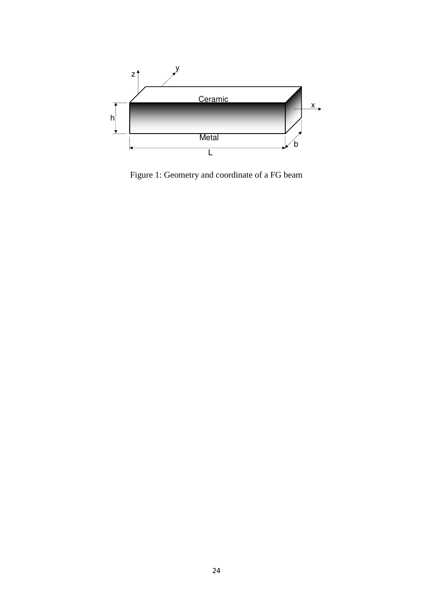<span id="page-24-0"></span>

Figure 1: Geometry and coordinate of a FG beam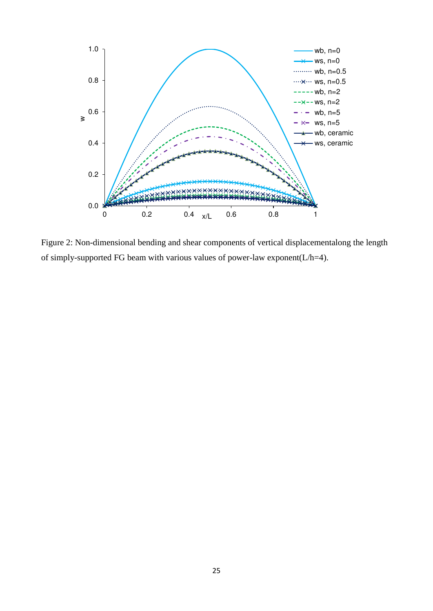<span id="page-25-0"></span>

Figure 2: Non-dimensional bending and shear components of vertical displacementalong the length of simply-supported FG beam with various values of power-law exponent( $L/h=4$ ).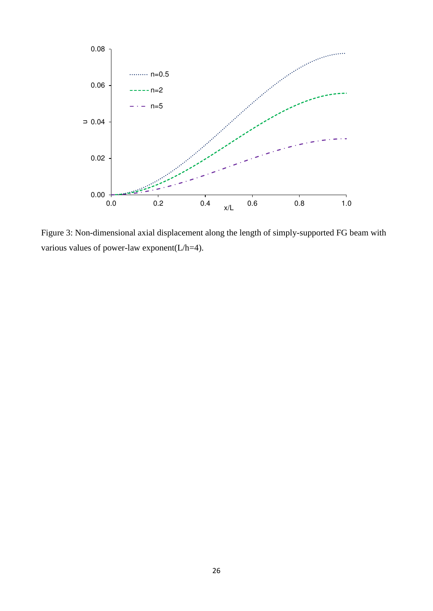

<span id="page-26-0"></span>Figure 3: Non-dimensional axial displacement along the length of simply-supported FG beam with various values of power-law exponent(L/h=4).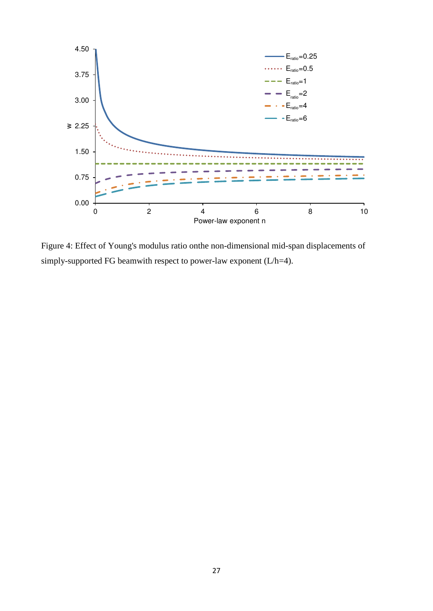<span id="page-27-0"></span>

Figure 4: Effect of Young's modulus ratio onthe non-dimensional mid-span displacements of simply-supported FG beamwith respect to power-law exponent (L/h=4).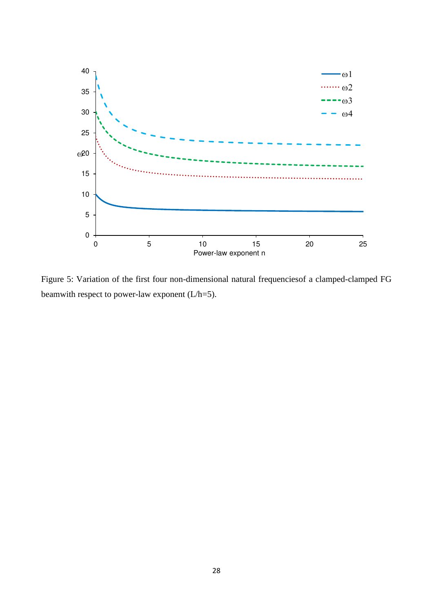

Figure 5: Variation of the first four non-dimensional natural frequenciesof a clamped-clamped FG beamwith respect to power-law exponent (L/h=5).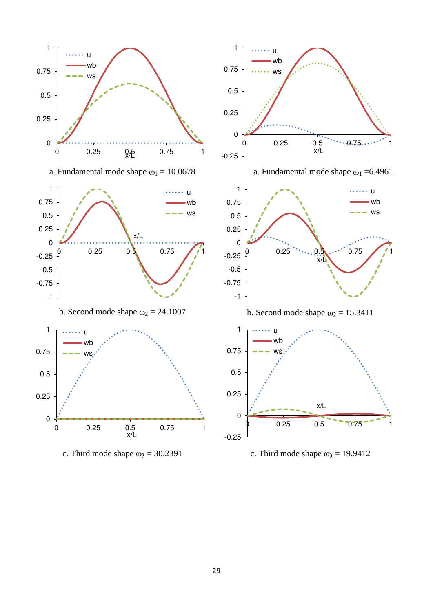<span id="page-29-0"></span>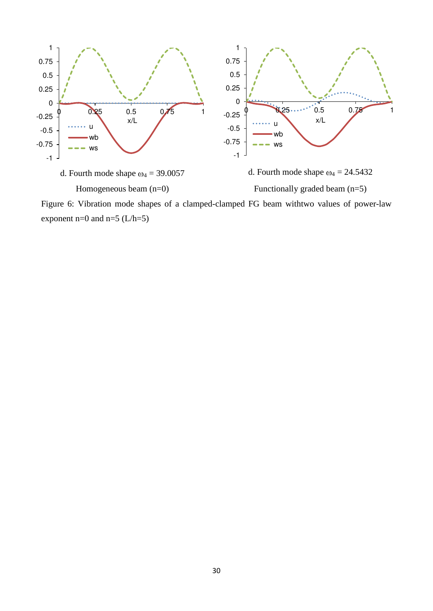

<span id="page-30-0"></span>Figure 6: Vibration mode shapes of a clamped-clamped FG beam withtwo values of power-law exponent n=0 and n=5  $(L/h=5)$